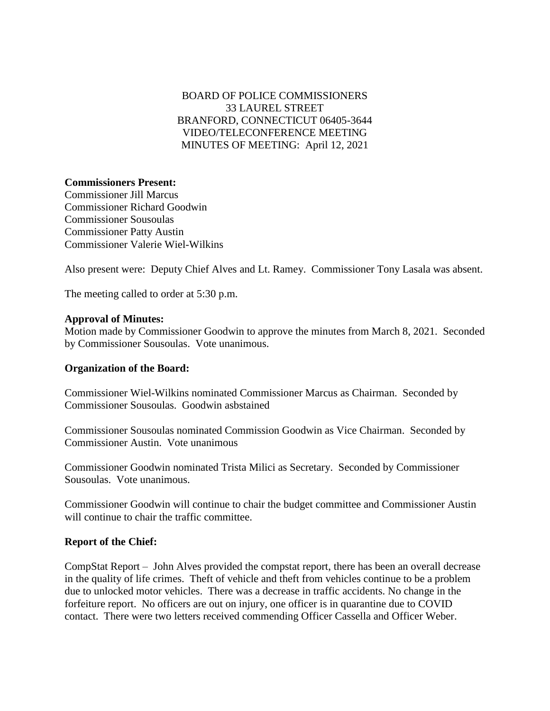# BOARD OF POLICE COMMISSIONERS 33 LAUREL STREET BRANFORD, CONNECTICUT 06405-3644 VIDEO/TELECONFERENCE MEETING MINUTES OF MEETING: April 12, 2021

### **Commissioners Present:**

Commissioner Jill Marcus Commissioner Richard Goodwin Commissioner Sousoulas Commissioner Patty Austin Commissioner Valerie Wiel-Wilkins

Also present were: Deputy Chief Alves and Lt. Ramey. Commissioner Tony Lasala was absent.

The meeting called to order at 5:30 p.m.

#### **Approval of Minutes:**

Motion made by Commissioner Goodwin to approve the minutes from March 8, 2021. Seconded by Commissioner Sousoulas. Vote unanimous.

#### **Organization of the Board:**

Commissioner Wiel-Wilkins nominated Commissioner Marcus as Chairman. Seconded by Commissioner Sousoulas. Goodwin asbstained

Commissioner Sousoulas nominated Commission Goodwin as Vice Chairman. Seconded by Commissioner Austin. Vote unanimous

Commissioner Goodwin nominated Trista Milici as Secretary. Seconded by Commissioner Sousoulas. Vote unanimous.

Commissioner Goodwin will continue to chair the budget committee and Commissioner Austin will continue to chair the traffic committee.

#### **Report of the Chief:**

CompStat Report – John Alves provided the compstat report, there has been an overall decrease in the quality of life crimes. Theft of vehicle and theft from vehicles continue to be a problem due to unlocked motor vehicles. There was a decrease in traffic accidents. No change in the forfeiture report. No officers are out on injury, one officer is in quarantine due to COVID contact. There were two letters received commending Officer Cassella and Officer Weber.